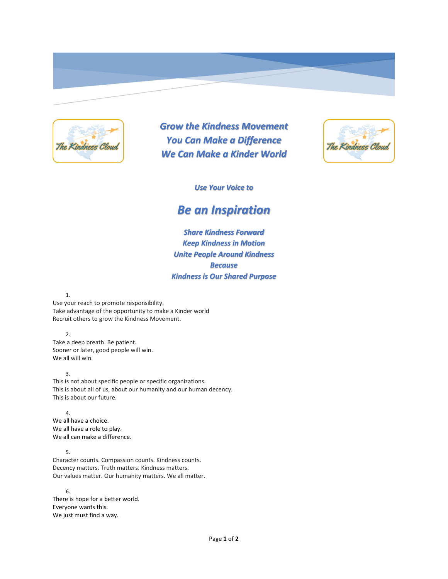

*Grow the Kindness Movement You Can Make a Difference We Can Make a Kinder World*



*Use Your Voice to*

## *Be an Inspiration*

*Share Kindness Forward Keep Kindness in Motion Unite People Around Kindness Because Kindness is Our Shared Purpose*

1.

Use your reach to promote responsibility. Take advantage of the opportunity to make a Kinder world Recruit others to grow the Kindness Movement.

2.

Take a deep breath. Be patient. Sooner or later, good people will win. We all will win.

3.

This is not about specific people or specific organizations. This is about all of us, about our humanity and our human decency. This is about our future.

4. We all have a choice. We all have a role to play. We all can make a difference.

5. Character counts. Compassion counts. Kindness counts. Decency matters. Truth matters. Kindness matters. Our values matter. Our humanity matters. We all matter.

6. There is hope for a better world. Everyone wants this. We just must find a way.